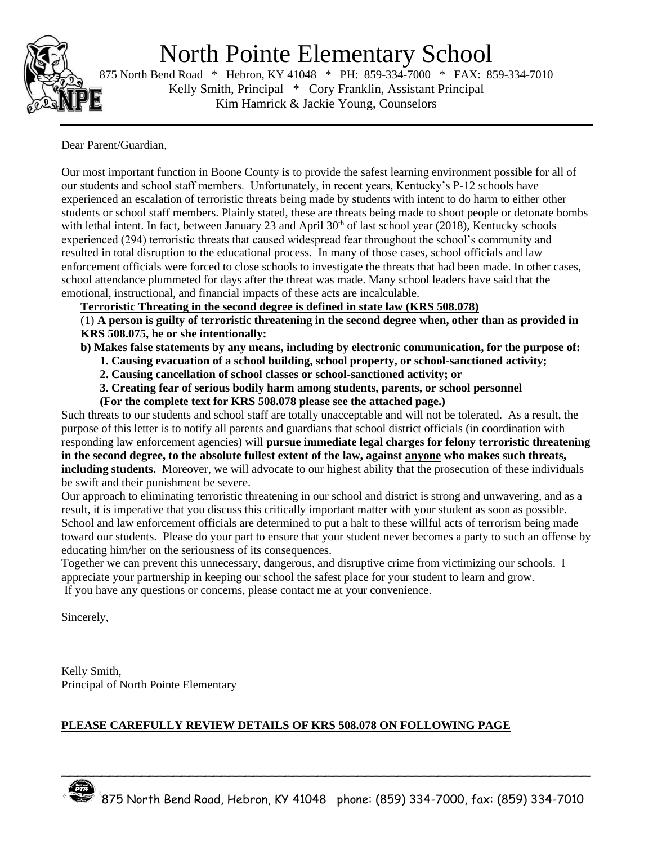

North Pointe Elementary School

875 North Bend Road \* Hebron, KY 41048 \* PH: 859-334-7000 \* FAX: 859-334-7010 Kelly Smith, Principal \* Cory Franklin, Assistant Principal Kim Hamrick & Jackie Young, Counselors

Dear Parent/Guardian,

Our most important function in Boone County is to provide the safest learning environment possible for all of our students and school staff members. Unfortunately, in recent years, Kentucky's P-12 schools have experienced an escalation of terroristic threats being made by students with intent to do harm to either other students or school staff members. Plainly stated, these are threats being made to shoot people or detonate bombs with lethal intent. In fact, between January 23 and April 30<sup>th</sup> of last school year (2018), Kentucky schools experienced (294) terroristic threats that caused widespread fear throughout the school's community and resulted in total disruption to the educational process. In many of those cases, school officials and law enforcement officials were forced to close schools to investigate the threats that had been made. In other cases, school attendance plummeted for days after the threat was made. Many school leaders have said that the emotional, instructional, and financial impacts of these acts are incalculable.

**Terroristic Threating in the second degree is defined in state law (KRS 508.078)**

(1) **A person is guilty of terroristic threatening in the second degree when, other than as provided in KRS 508.075, he or she intentionally:** 

- **b) Makes false statements by any means, including by electronic communication, for the purpose of:** 
	- **1. Causing evacuation of a school building, school property, or school-sanctioned activity;**
	- **2. Causing cancellation of school classes or school-sanctioned activity; or**
	- **3. Creating fear of serious bodily harm among students, parents, or school personnel**
	- **(For the complete text for KRS 508.078 please see the attached page.)**

Such threats to our students and school staff are totally unacceptable and will not be tolerated. As a result, the purpose of this letter is to notify all parents and guardians that school district officials (in coordination with responding law enforcement agencies) will **pursue immediate legal charges for felony terroristic threatening in the second degree, to the absolute fullest extent of the law, against anyone who makes such threats, including students.** Moreover, we will advocate to our highest ability that the prosecution of these individuals be swift and their punishment be severe.

Our approach to eliminating terroristic threatening in our school and district is strong and unwavering, and as a result, it is imperative that you discuss this critically important matter with your student as soon as possible. School and law enforcement officials are determined to put a halt to these willful acts of terrorism being made toward our students. Please do your part to ensure that your student never becomes a party to such an offense by educating him/her on the seriousness of its consequences.

Together we can prevent this unnecessary, dangerous, and disruptive crime from victimizing our schools. I appreciate your partnership in keeping our school the safest place for your student to learn and grow. If you have any questions or concerns, please contact me at your convenience.

Sincerely,

Kelly Smith, Principal of North Pointe Elementary

## **PLEASE CAREFULLY REVIEW DETAILS OF KRS 508.078 ON FOLLOWING PAGE**

 $\sim$  . The contract of the contract of the contract of the contract of the contract of the contract of the contract of